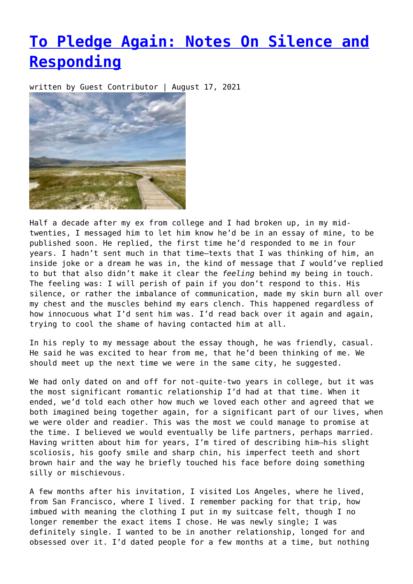## **[To Pledge Again: Notes On Silence and](https://entropymag.org/to-pledge-again-notes-on-silence-and-responding/) [Responding](https://entropymag.org/to-pledge-again-notes-on-silence-and-responding/)**

written by Guest Contributor | August 17, 2021



Half a decade after my ex from college and I had broken up, in my midtwenties, I messaged him to let him know he'd be in an essay of mine, to be published soon. He replied, the first time he'd responded to me in four years. I hadn't sent much in that time—texts that I was thinking of him, an inside joke or a dream he was in, the kind of message that *I* would've replied to but that also didn't make it clear the *feeling* behind my being in touch. The feeling was: I will perish of pain if you don't respond to this. His silence, or rather the imbalance of communication, made my skin burn all over my chest and the muscles behind my ears clench. This happened regardless of how innocuous what I'd sent him was. I'd read back over it again and again, trying to cool the shame of having contacted him at all.

In his reply to my message about the essay though, he was friendly, casual. He said he was excited to hear from me, that he'd been thinking of me. We should meet up the next time we were in the same city, he suggested.

We had only dated on and off for not-quite-two years in college, but it was the most significant romantic relationship I'd had at that time. When it ended, we'd told each other how much we loved each other and agreed that we both imagined being together again, for a significant part of our lives, when we were older and readier. This was the most we could manage to promise at the time. I believed we would eventually be life partners, perhaps married. Having written about him for years, I'm tired of describing him—his slight scoliosis, his goofy smile and sharp chin, his imperfect teeth and short brown hair and the way he briefly touched his face before doing something silly or mischievous.

A few months after his invitation, I visited Los Angeles, where he lived, from San Francisco, where I lived. I remember packing for that trip, how imbued with meaning the clothing I put in my suitcase felt, though I no longer remember the exact items I chose. He was newly single; I was definitely single. I wanted to be in another relationship, longed for and obsessed over it. I'd dated people for a few months at a time, but nothing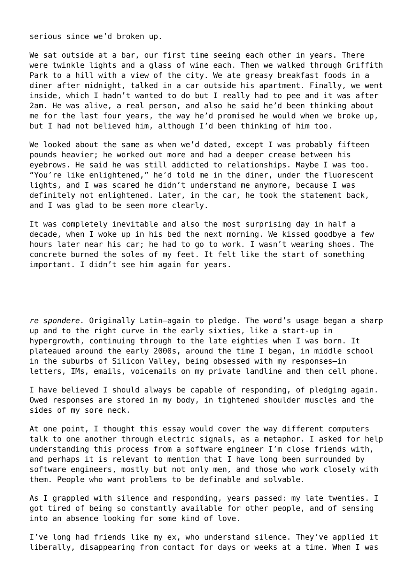serious since we'd broken up.

We sat outside at a bar, our first time seeing each other in years. There were twinkle lights and a glass of wine each. Then we walked through Griffith Park to a hill with a view of the city. We ate greasy breakfast foods in a diner after midnight, talked in a car outside his apartment. Finally, we went inside, which I hadn't wanted to do but I really had to pee and it was after 2am. He was alive, a real person, and also he said he'd been thinking about me for the last four years, the way he'd promised he would when we broke up, but I had not believed him, although I'd been thinking of him too.

We looked about the same as when we'd dated, except I was probably fifteen pounds heavier; he worked out more and had a deeper crease between his eyebrows. He said he was still addicted to relationships. Maybe I was too. "You're like enlightened," he'd told me in the diner, under the fluorescent lights, and I was scared he didn't understand me anymore, because I was definitely not enlightened. Later, in the car, he took the statement back, and I was glad to be seen more clearly.

It was completely inevitable and also the most surprising day in half a decade, when I woke up in his bed the next morning. We kissed goodbye a few hours later near his car; he had to go to work. I wasn't wearing shoes. The concrete burned the soles of my feet. It felt like the start of something important. I didn't see him again for years.

*re spondere.* Originally Latin—again to pledge. The word's usage began a sharp up and to the right curve in the early sixties, like a start-up in hypergrowth, continuing through to the late eighties when I was born. It plateaued around the early 2000s, around the time I began, in middle school in the suburbs of Silicon Valley, being obsessed with my responses—in letters, IMs, emails, voicemails on my private landline and then cell phone.

I have believed I should always be capable of responding, of pledging again. Owed responses are stored in my body, in tightened shoulder muscles and the sides of my sore neck.

At one point, I thought this essay would cover the way different computers talk to one another through electric signals, as a metaphor. I asked for help understanding this process from a software engineer I'm close friends with, and perhaps it is relevant to mention that I have long been surrounded by software engineers, mostly but not only men, and those who work closely with them. People who want problems to be definable and solvable.

As I grappled with silence and responding, years passed: my late twenties. I got tired of being so constantly available for other people, and of sensing into an absence looking for some kind of love.

I've long had friends like my ex, who understand silence. They've applied it liberally, disappearing from contact for days or weeks at a time. When I was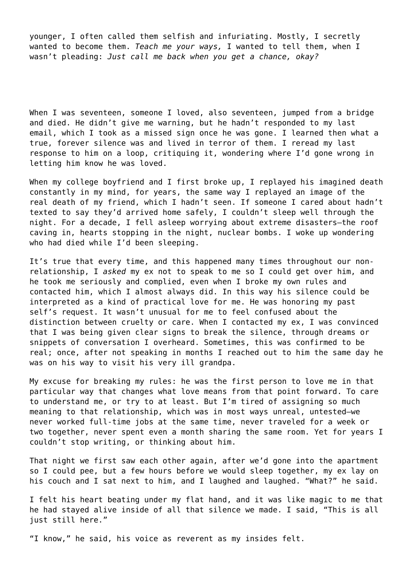younger, I often called them selfish and infuriating. Mostly, I secretly wanted to become them. *Teach me your ways,* I wanted to tell them, when I wasn't pleading: *Just call me back when you get a chance, okay?*

When I was seventeen, someone I loved, also seventeen, jumped from a bridge and died. He didn't give me warning, but he hadn't responded to my last email, which I took as a missed sign once he was gone. I learned then what a true, forever silence was and lived in terror of them. I reread my last response to him on a loop, critiquing it, wondering where I'd gone wrong in letting him know he was loved.

When my college boyfriend and I first broke up, I replayed his imagined death constantly in my mind, for years, the same way I replayed an image of the real death of my friend, which I hadn't seen. If someone I cared about hadn't texted to say they'd arrived home safely, I couldn't sleep well through the night. For a decade, I fell asleep worrying about extreme disasters—the roof caving in, hearts stopping in the night, nuclear bombs. I woke up wondering who had died while I'd been sleeping.

It's true that every time, and this happened many times throughout our nonrelationship, I *asked* my ex not to speak to me so I could get over him, and he took me seriously and complied, even when I broke my own rules and contacted him, which I almost always did. In this way his silence could be interpreted as a kind of practical love for me. He was honoring my past self's request. It wasn't unusual for me to feel confused about the distinction between cruelty or care. When I contacted my ex, I was convinced that I was being given clear signs to break the silence, through dreams or snippets of conversation I overheard. Sometimes, this was confirmed to be real; once, after not speaking in months I reached out to him the same day he was on his way to visit his very ill grandpa.

My excuse for breaking my rules: he was the first person to love me in that particular way that changes what love means from that point forward. To care to understand me, or try to at least. But I'm tired of assigning so much meaning to that relationship, which was in most ways unreal, untested—we never worked full-time jobs at the same time, never traveled for a week or two together, never spent even a month sharing the same room. Yet for years I couldn't stop writing, or thinking about him.

That night we first saw each other again, after we'd gone into the apartment so I could pee, but a few hours before we would sleep together, my ex lay on his couch and I sat next to him, and I laughed and laughed. "What?" he said.

I felt his heart beating under my flat hand, and it was like magic to me that he had stayed alive inside of all that silence we made. I said, "This is all just still here."

"I know," he said, his voice as reverent as my insides felt.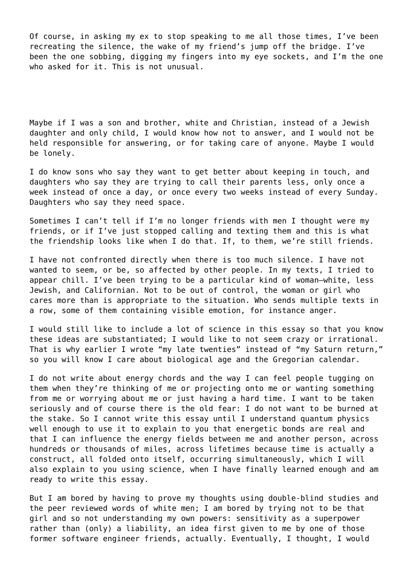Of course, in asking my ex to stop speaking to me all those times, I've been recreating the silence, the wake of my friend's jump off the bridge. I've been the one sobbing, digging my fingers into my eye sockets, and I'm the one who asked for it. This is not unusual.

Maybe if I was a son and brother, white and Christian, instead of a Jewish daughter and only child, I would know how not to answer, and I would not be held responsible for answering, or for taking care of anyone. Maybe I would be lonely.

I do know sons who say they want to get better about keeping in touch, and daughters who say they are trying to call their parents less, only once a week instead of once a day, or once every two weeks instead of every Sunday. Daughters who say they need space.

Sometimes I can't tell if I'm no longer friends with men I thought were my friends, or if I've just stopped calling and texting them and this is what the friendship looks like when I do that. If, to them, we're still friends.

I have not confronted directly when there is too much silence. I have not wanted to seem, or be, so affected by other people. In my texts, I tried to appear chill. I've been trying to be a particular kind of woman—white, less Jewish, and Californian. Not to be out of control, the woman or girl who cares more than is appropriate to the situation. Who sends multiple texts in a row, some of them containing visible emotion, for instance anger.

I would still like to include a lot of science in this essay so that you know these ideas are substantiated; I would like to not seem crazy or irrational. That is why earlier I wrote "my late twenties" instead of "my Saturn return," so you will know I care about biological age and the Gregorian calendar.

I do not write about energy chords and the way I can feel people tugging on them when they're thinking of me or projecting onto me or wanting something from me or worrying about me or just having a hard time. I want to be taken seriously and of course there is the old fear: I do not want to be burned at the stake. So I cannot write this essay until I understand quantum physics well enough to use it to explain to you that energetic bonds are real and that I can influence the energy fields between me and another person, across hundreds or thousands of miles, across lifetimes because time is actually a construct, all folded onto itself, occurring simultaneously, which I will also explain to you using science, when I have finally learned enough and am ready to write this essay.

But I am bored by having to prove my thoughts using double-blind studies and the peer reviewed words of white men; I am bored by trying not to be that girl and so not understanding my own powers: sensitivity as a superpower rather than (only) a liability, an idea first given to me by one of those former software engineer friends, actually. Eventually, I thought, I would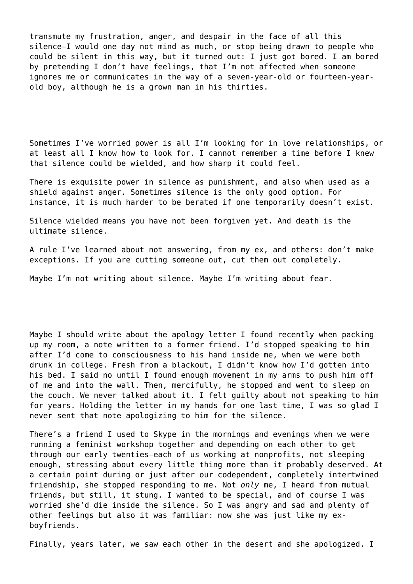transmute my frustration, anger, and despair in the face of all this silence—I would one day not mind as much, or stop being drawn to people who could be silent in this way, but it turned out: I just got bored. I am bored by pretending I don't have feelings, that I'm not affected when someone ignores me or communicates in the way of a seven-year-old or fourteen-yearold boy, although he is a grown man in his thirties.

Sometimes I've worried power is all I'm looking for in love relationships, or at least all I know how to look for. I cannot remember a time before I knew that silence could be wielded, and how sharp it could feel.

There is exquisite power in silence as punishment, and also when used as a shield against anger. Sometimes silence is the only good option. For instance, it is much harder to be berated if one temporarily doesn't exist.

Silence wielded means you have not been forgiven yet. And death is the ultimate silence.

A rule I've learned about not answering, from my ex, and others: don't make exceptions. If you are cutting someone out, cut them out completely.

Maybe I'm not writing about silence. Maybe I'm writing about fear.

Maybe I should write about the apology letter I found recently when packing up my room, a note written to a former friend. I'd stopped speaking to him after I'd come to consciousness to his hand inside me, when we were both drunk in college. Fresh from a blackout, I didn't know how I'd gotten into his bed. I said no until I found enough movement in my arms to push him off of me and into the wall. Then, mercifully, he stopped and went to sleep on the couch. We never talked about it. I felt guilty about not speaking to him for years. Holding the letter in my hands for one last time, I was so glad I never sent that note apologizing to him for the silence.

There's a friend I used to Skype in the mornings and evenings when we were running a feminist workshop together and depending on each other to get through our early twenties—each of us working at nonprofits, not sleeping enough, stressing about every little thing more than it probably deserved. At a certain point during or just after our codependent, completely intertwined friendship, she stopped responding to me. Not *only* me, I heard from mutual friends, but still, it stung. I wanted to be special, and of course I was worried she'd die inside the silence. So I was angry and sad and plenty of other feelings but also it was familiar: now she was just like my exboyfriends.

Finally, years later, we saw each other in the desert and she apologized. I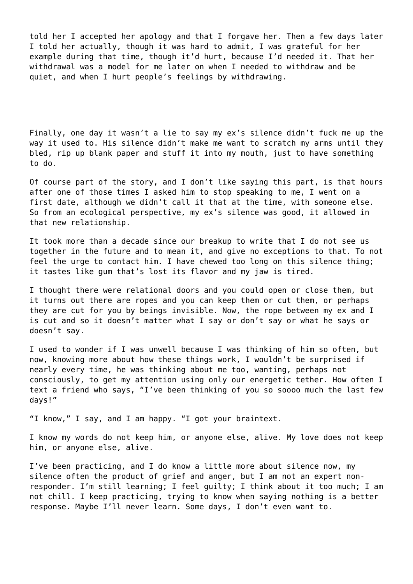told her I accepted her apology and that I forgave her. Then a few days later I told her actually, though it was hard to admit, I was grateful for her example during that time, though it'd hurt, because I'd needed it. That her withdrawal was a model for me later on when I needed to withdraw and be quiet, and when I hurt people's feelings by withdrawing.

Finally, one day it wasn't a lie to say my ex's silence didn't fuck me up the way it used to. His silence didn't make me want to scratch my arms until they bled, rip up blank paper and stuff it into my mouth, just to have something to do.

Of course part of the story, and I don't like saying this part, is that hours after one of those times I asked him to stop speaking to me, I went on a first date, although we didn't call it that at the time, with someone else. So from an ecological perspective, my ex's silence was good, it allowed in that new relationship.

It took more than a decade since our breakup to write that I do not see us together in the future and to mean it, and give no exceptions to that. To not feel the urge to contact him. I have chewed too long on this silence thing; it tastes like gum that's lost its flavor and my jaw is tired.

I thought there were relational doors and you could open or close them, but it turns out there are ropes and you can keep them or cut them, or perhaps they are cut for you by beings invisible. Now, the rope between my ex and I is cut and so it doesn't matter what I say or don't say or what he says or doesn't say.

I used to wonder if I was unwell because I was thinking of him so often, but now, knowing more about how these things work, I wouldn't be surprised if nearly every time, he was thinking about me too, wanting, perhaps not consciously, to get my attention using only our energetic tether. How often I text a friend who says, "I've been thinking of you so soooo much the last few days!"

"I know," I say, and I am happy. "I got your braintext.

I know my words do not keep him, or anyone else, alive. My love does not keep him, or anyone else, alive.

I've been practicing, and I do know a little more about silence now, my silence often the product of grief and anger, but I am not an expert nonresponder. I'm still learning; I feel guilty; I think about it too much; I am not chill. I keep practicing, trying to know when saying nothing is a better response. Maybe I'll never learn. Some days, I don't even want to.